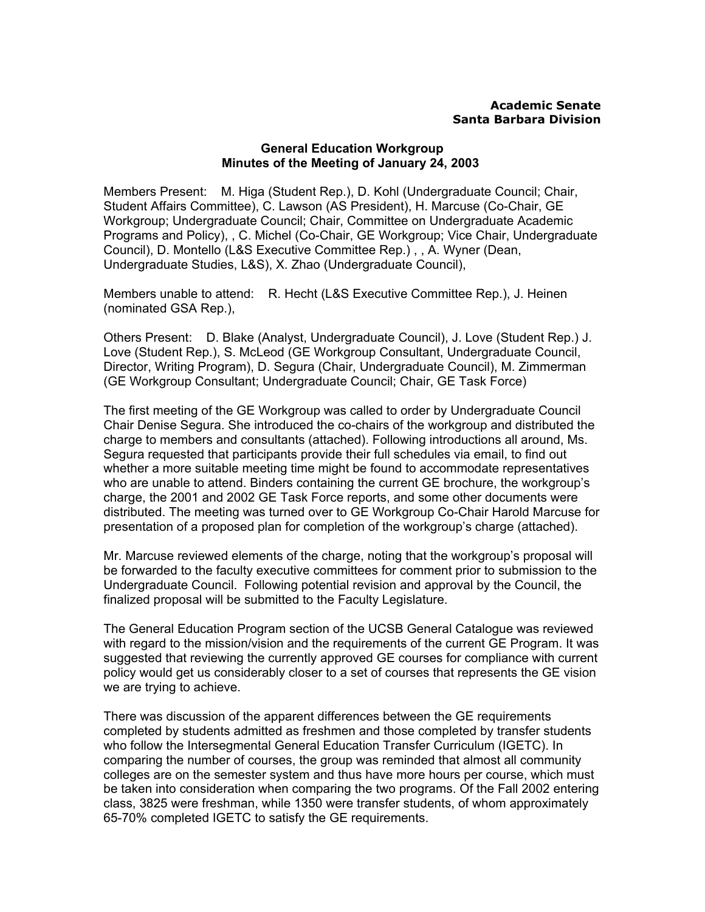## **Academic Senate Santa Barbara Division**

## **General Education Workgroup Minutes of the Meeting of January 24, 2003**

Members Present: M. Higa (Student Rep.), D. Kohl (Undergraduate Council; Chair, Student Affairs Committee), C. Lawson (AS President), H. Marcuse (Co-Chair, GE Workgroup; Undergraduate Council; Chair, Committee on Undergraduate Academic Programs and Policy), , C. Michel (Co-Chair, GE Workgroup; Vice Chair, Undergraduate Council), D. Montello (L&S Executive Committee Rep.) , , A. Wyner (Dean, Undergraduate Studies, L&S), X. Zhao (Undergraduate Council),

Members unable to attend: R. Hecht (L&S Executive Committee Rep.), J. Heinen (nominated GSA Rep.),

Others Present: D. Blake (Analyst, Undergraduate Council), J. Love (Student Rep.) J. Love (Student Rep.), S. McLeod (GE Workgroup Consultant, Undergraduate Council, Director, Writing Program), D. Segura (Chair, Undergraduate Council), M. Zimmerman (GE Workgroup Consultant; Undergraduate Council; Chair, GE Task Force)

The first meeting of the GE Workgroup was called to order by Undergraduate Council Chair Denise Segura. She introduced the co-chairs of the workgroup and distributed the charge to members and consultants (attached). Following introductions all around, Ms. Segura requested that participants provide their full schedules via email, to find out whether a more suitable meeting time might be found to accommodate representatives who are unable to attend. Binders containing the current GE brochure, the workgroup's charge, the 2001 and 2002 GE Task Force reports, and some other documents were distributed. The meeting was turned over to GE Workgroup Co-Chair Harold Marcuse for presentation of a proposed plan for completion of the workgroup's charge (attached).

Mr. Marcuse reviewed elements of the charge, noting that the workgroup's proposal will be forwarded to the faculty executive committees for comment prior to submission to the Undergraduate Council. Following potential revision and approval by the Council, the finalized proposal will be submitted to the Faculty Legislature.

The General Education Program section of the UCSB General Catalogue was reviewed with regard to the mission/vision and the requirements of the current GE Program. It was suggested that reviewing the currently approved GE courses for compliance with current policy would get us considerably closer to a set of courses that represents the GE vision we are trying to achieve.

There was discussion of the apparent differences between the GE requirements completed by students admitted as freshmen and those completed by transfer students who follow the Intersegmental General Education Transfer Curriculum (IGETC). In comparing the number of courses, the group was reminded that almost all community colleges are on the semester system and thus have more hours per course, which must be taken into consideration when comparing the two programs. Of the Fall 2002 entering class, 3825 were freshman, while 1350 were transfer students, of whom approximately 65-70% completed IGETC to satisfy the GE requirements.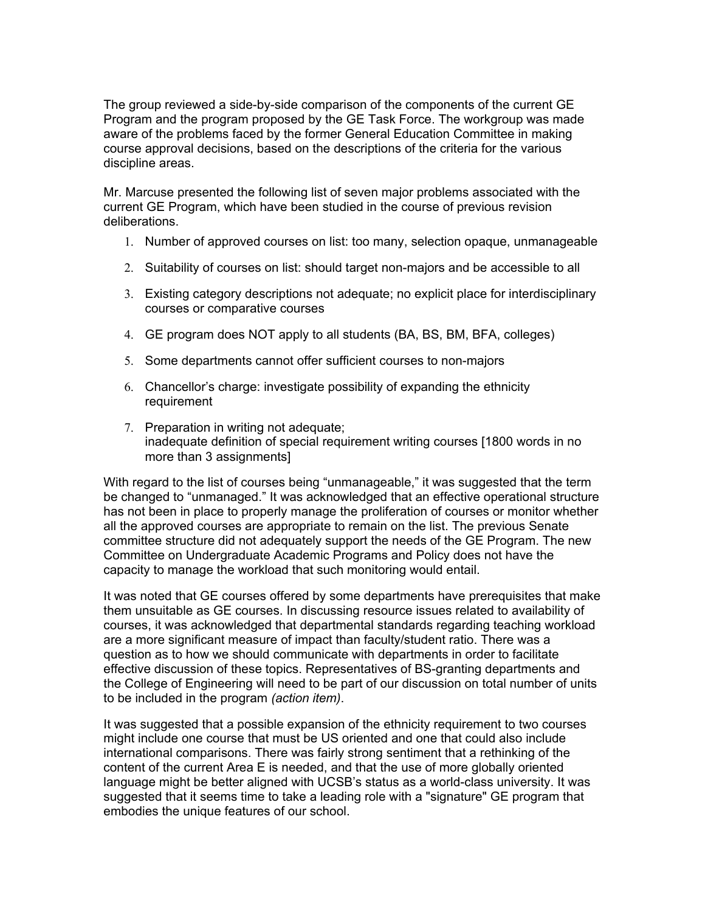The group reviewed a side-by-side comparison of the components of the current GE Program and the program proposed by the GE Task Force. The workgroup was made aware of the problems faced by the former General Education Committee in making course approval decisions, based on the descriptions of the criteria for the various discipline areas.

Mr. Marcuse presented the following list of seven major problems associated with the current GE Program, which have been studied in the course of previous revision deliberations.

- 1. Number of approved courses on list: too many, selection opaque, unmanageable
- 2. Suitability of courses on list: should target non-majors and be accessible to all
- 3. Existing category descriptions not adequate; no explicit place for interdisciplinary courses or comparative courses
- 4. GE program does NOT apply to all students (BA, BS, BM, BFA, colleges)
- 5. Some departments cannot offer sufficient courses to non-majors
- 6. Chancellor's charge: investigate possibility of expanding the ethnicity requirement
- 7. Preparation in writing not adequate; inadequate definition of special requirement writing courses [1800 words in no more than 3 assignments]

With regard to the list of courses being "unmanageable," it was suggested that the term be changed to "unmanaged." It was acknowledged that an effective operational structure has not been in place to properly manage the proliferation of courses or monitor whether all the approved courses are appropriate to remain on the list. The previous Senate committee structure did not adequately support the needs of the GE Program. The new Committee on Undergraduate Academic Programs and Policy does not have the capacity to manage the workload that such monitoring would entail.

It was noted that GE courses offered by some departments have prerequisites that make them unsuitable as GE courses. In discussing resource issues related to availability of courses, it was acknowledged that departmental standards regarding teaching workload are a more significant measure of impact than faculty/student ratio. There was a question as to how we should communicate with departments in order to facilitate effective discussion of these topics. Representatives of BS-granting departments and the College of Engineering will need to be part of our discussion on total number of units to be included in the program *(action item)*.

It was suggested that a possible expansion of the ethnicity requirement to two courses might include one course that must be US oriented and one that could also include international comparisons. There was fairly strong sentiment that a rethinking of the content of the current Area E is needed, and that the use of more globally oriented language might be better aligned with UCSB's status as a world-class university. It was suggested that it seems time to take a leading role with a "signature" GE program that embodies the unique features of our school.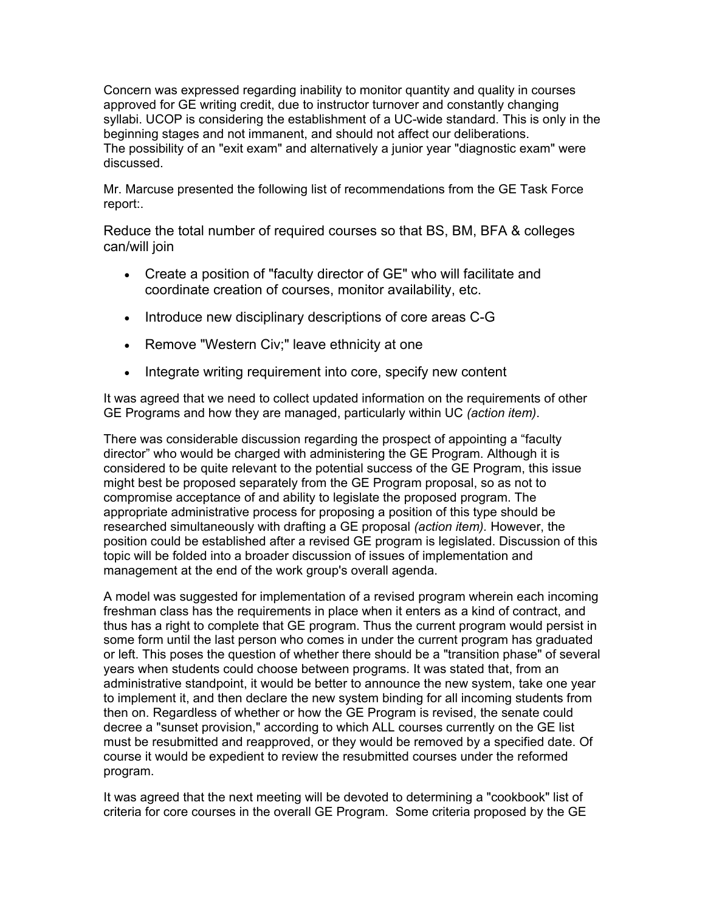Concern was expressed regarding inability to monitor quantity and quality in courses approved for GE writing credit, due to instructor turnover and constantly changing syllabi. UCOP is considering the establishment of a UC-wide standard. This is only in the beginning stages and not immanent, and should not affect our deliberations. The possibility of an "exit exam" and alternatively a junior year "diagnostic exam" were discussed.

Mr. Marcuse presented the following list of recommendations from the GE Task Force report:.

Reduce the total number of required courses so that BS, BM, BFA & colleges can/will join

- Create a position of "faculty director of GE" who will facilitate and coordinate creation of courses, monitor availability, etc.
- Introduce new disciplinary descriptions of core areas C-G
- Remove "Western Civ;" leave ethnicity at one
- Integrate writing requirement into core, specify new content

It was agreed that we need to collect updated information on the requirements of other GE Programs and how they are managed, particularly within UC *(action item)*.

There was considerable discussion regarding the prospect of appointing a "faculty director" who would be charged with administering the GE Program. Although it is considered to be quite relevant to the potential success of the GE Program, this issue might best be proposed separately from the GE Program proposal, so as not to compromise acceptance of and ability to legislate the proposed program. The appropriate administrative process for proposing a position of this type should be researched simultaneously with drafting a GE proposal *(action item).* However, the position could be established after a revised GE program is legislated. Discussion of this topic will be folded into a broader discussion of issues of implementation and management at the end of the work group's overall agenda.

A model was suggested for implementation of a revised program wherein each incoming freshman class has the requirements in place when it enters as a kind of contract, and thus has a right to complete that GE program. Thus the current program would persist in some form until the last person who comes in under the current program has graduated or left. This poses the question of whether there should be a "transition phase" of several years when students could choose between programs. It was stated that, from an administrative standpoint, it would be better to announce the new system, take one year to implement it, and then declare the new system binding for all incoming students from then on. Regardless of whether or how the GE Program is revised, the senate could decree a "sunset provision," according to which ALL courses currently on the GE list must be resubmitted and reapproved, or they would be removed by a specified date. Of course it would be expedient to review the resubmitted courses under the reformed program.

It was agreed that the next meeting will be devoted to determining a "cookbook" list of criteria for core courses in the overall GE Program. Some criteria proposed by the GE